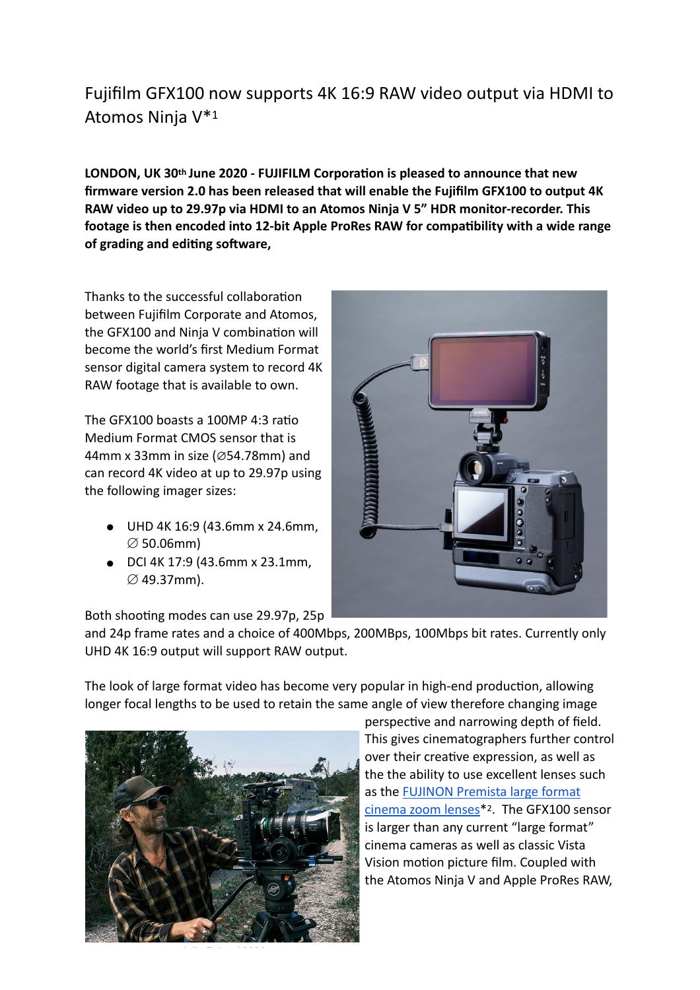## Fujifilm GFX100 now supports 4K 16:9 RAW video output via HDMI to Atomos Ninja V\*1

LONDON, UK 30<sup>th</sup> June 2020 - FUJIFILM Corporation is pleased to announce that new **firmware version 2.0 has been released that will enable the Fujifilm GFX100 to output 4K RAW video up to 29.97p via HDMI to an Atomos Ninja V 5" HDR monitor-recorder. This**  footage is then encoded into 12-bit Apple ProRes RAW for compatibility with a wide range of grading and editing software,

Thanks to the successful collaboration between Fujifilm Corporate and Atomos, the GFX100 and Ninja V combination will become the world's first Medium Format sensor digital camera system to record 4K RAW footage that is available to own.

The GFX100 boasts a 100MP  $4:3$  ratio Medium Format CMOS sensor that is 44mm x 33mm in size (∅54.78mm) and can record 4K video at up to 29.97p using the following imager sizes:

- ! UHD 4K 16:9 (43.6mm x 24.6mm,  $\varnothing$  50.06mm)
- DCI 4K 17:9 (43.6mm x 23.1mm,  $\varnothing$  49.37mm).

Both shooting modes can use 29.97p, 25p

and 24p frame rates and a choice of 400Mbps, 200MBps, 100Mbps bit rates. Currently only UHD 4K 16:9 output will support RAW output.

The look of large format video has become very popular in high-end production, allowing longer focal lengths to be used to retain the same angle of view therefore changing image



perspective and narrowing depth of field. This gives cinematographers further control over their creative expression, as well as the the ability to use excellent lenses such as the [FUJINON Premista large format](https://fujinoncinelens.com/uk/products/premista28-100mmt29/)  [cinema zoom lenses](https://fujinoncinelens.com/uk/products/premista28-100mmt29/)\*2. The GFX100 sensor is larger than any current "large format" cinema cameras as well as classic Vista Vision motion picture film. Coupled with the Atomos Ninja V and Apple ProRes RAW,

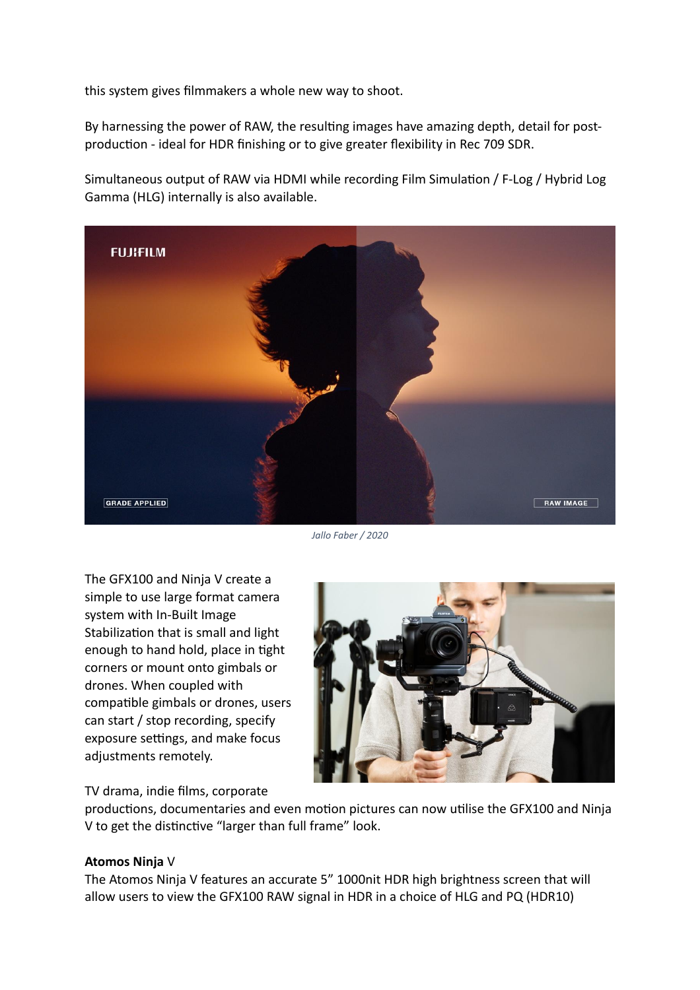this system gives filmmakers a whole new way to shoot.

By harnessing the power of RAW, the resulting images have amazing depth, detail for postproduction - ideal for HDR finishing or to give greater flexibility in Rec 709 SDR.

Simultaneous output of RAW via HDMI while recording Film Simulation / F-Log / Hybrid Log Gamma (HLG) internally is also available.



*Jallo Faber / 2020* 

The GFX100 and Ninja V create a simple to use large format camera system with In-Built Image Stabilization that is small and light enough to hand hold, place in tight corners or mount onto gimbals or drones. When coupled with compatible gimbals or drones, users can start / stop recording, specify exposure settings, and make focus adjustments remotely.

TV drama, indie films, corporate



productions, documentaries and even motion pictures can now utilise the GFX100 and Ninja V to get the distinctive "larger than full frame" look.

## **Atomos Ninja** V

The Atomos Ninja V features an accurate 5" 1000nit HDR high brightness screen that will allow users to view the GFX100 RAW signal in HDR in a choice of HLG and PQ (HDR10)